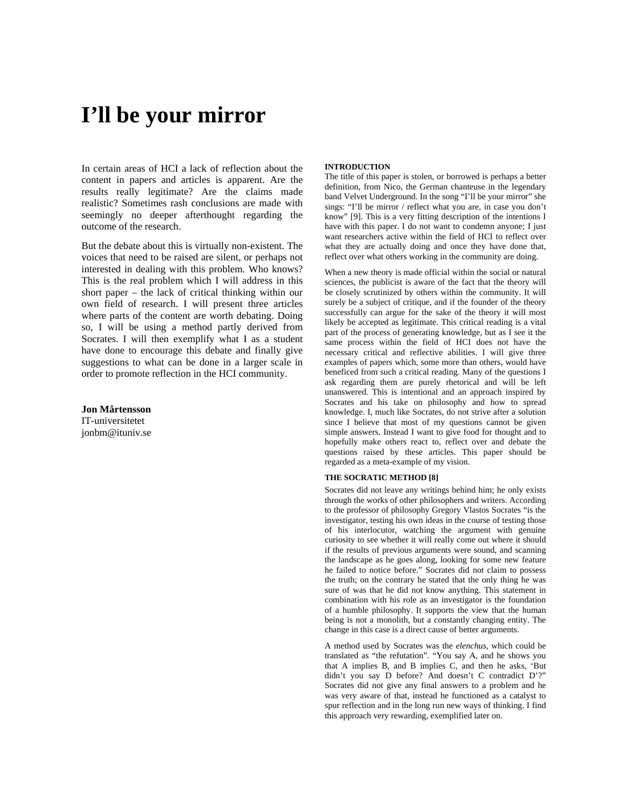# **I'll be your mirror**

In certain areas of HCI a lack of reflection about the content in papers and articles is apparent. Are the results really legitimate? Are the claims made realistic? Sometimes rash conclusions are made with seemingly no deeper afterthought regarding the outcome of the research.

But the debate about this is virtually non-existent. The voices that need to be raised are silent, or perhaps not interested in dealing with this problem. Who knows? This is the real problem which I will address in this short paper – the lack of critical thinking within our own field of research. I will present three articles where parts of the content are worth debating. Doing so, I will be using a method partly derived from Socrates. I will then exemplify what I as a student have done to encourage this debate and finally give suggestions to what can be done in a larger scale in order to promote reflection in the HCI community.

**Jon Mårtensson**  IT-universitetet jonbm@ituniv.se

#### **INTRODUCTION**

The title of this paper is stolen, or borrowed is perhaps a better definition, from Nico, the German chanteuse in the legendary band Velvet Underground. In the song "I'll be your mirror" she sings: "I'll be mirror / reflect what you are, in case you don't know" [9]. This is a very fitting description of the intentions I have with this paper. I do not want to condemn anyone; I just want researchers active within the field of HCI to reflect over what they are actually doing and once they have done that, reflect over what others working in the community are doing.

When a new theory is made official within the social or natural sciences, the publicist is aware of the fact that the theory will be closely scrutinized by others within the community. It will surely be a subject of critique, and if the founder of the theory successfully can argue for the sake of the theory it will most likely be accepted as legitimate. This critical reading is a vital part of the process of generating knowledge, but as I see it the same process within the field of HCI does not have the necessary critical and reflective abilities. I will give three examples of papers which, some more than others, would have beneficed from such a critical reading. Many of the questions I ask regarding them are purely rhetorical and will be left unanswered. This is intentional and an approach inspired by Socrates and his take on philosophy and how to spread knowledge. I, much like Socrates, do not strive after a solution since I believe that most of my questions cannot be given simple answers. Instead I want to give food for thought and to hopefully make others react to, reflect over and debate the questions raised by these articles. This paper should be regarded as a meta-example of my vision.

# **THE SOCRATIC METHOD [8]**

Socrates did not leave any writings behind him; he only exists through the works of other philosophers and writers. According to the professor of philosophy Gregory Vlastos Socrates "is the investigator, testing his own ideas in the course of testing those of his interlocutor, watching the argument with genuine curiosity to see whether it will really come out where it should if the results of previous arguments were sound, and scanning the landscape as he goes along, looking for some new feature he failed to notice before." Socrates did not claim to possess the truth; on the contrary he stated that the only thing he was sure of was that he did not know anything. This statement in combination with his role as an investigator is the foundation of a humble philosophy. It supports the view that the human being is not a monolith, but a constantly changing entity. The change in this case is a direct cause of better arguments.

A method used by Socrates was the *elenchus*, which could be translated as "the refutation". "You say A, and he shows you that A implies B, and B implies C, and then he asks, 'But didn't you say D before? And doesn't C contradict D'?" Socrates did not give any final answers to a problem and he was very aware of that, instead he functioned as a catalyst to spur reflection and in the long run new ways of thinking. I find this approach very rewarding, exemplified later on.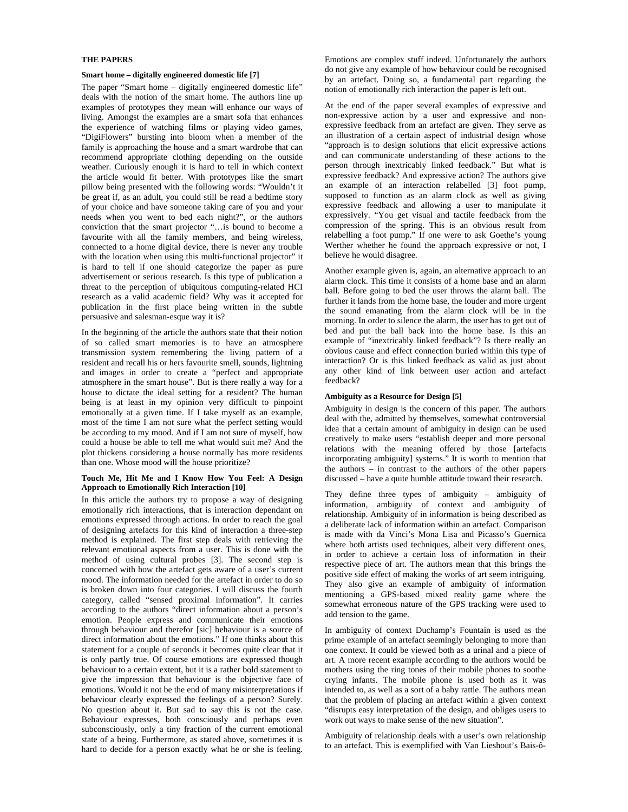## **THE PAPERS**

#### **Smart home – digitally engineered domestic life [7]**

The paper "Smart home – digitally engineered domestic life" deals with the notion of the smart home. The authors line up examples of prototypes they mean will enhance our ways of living. Amongst the examples are a smart sofa that enhances the experience of watching films or playing video games, "DigiFlowers" bursting into bloom when a member of the family is approaching the house and a smart wardrobe that can recommend appropriate clothing depending on the outside weather. Curiously enough it is hard to tell in which context the article would fit better. With prototypes like the smart pillow being presented with the following words: "Wouldn't it be great if, as an adult, you could still be read a bedtime story of your choice and have someone taking care of you and your needs when you went to bed each night?", or the authors conviction that the smart projector "…is bound to become a favourite with all the family members, and being wireless, connected to a home digital device, there is never any trouble with the location when using this multi-functional projector" it is hard to tell if one should categorize the paper as pure advertisement or serious research. Is this type of publication a threat to the perception of ubiquitous computing-related HCI research as a valid academic field? Why was it accepted for publication in the first place being written in the subtle persuasive and salesman-esque way it is?

In the beginning of the article the authors state that their notion of so called smart memories is to have an atmosphere transmission system remembering the living pattern of a resident and recall his or hers favourite smell, sounds, lightning and images in order to create a "perfect and appropriate atmosphere in the smart house". But is there really a way for a house to dictate the ideal setting for a resident? The human being is at least in my opinion very difficult to pinpoint emotionally at a given time. If I take myself as an example, most of the time I am not sure what the perfect setting would be according to my mood. And if I am not sure of myself, how could a house be able to tell me what would suit me? And the plot thickens considering a house normally has more residents than one. Whose mood will the house prioritize?

### **Touch Me, Hit Me and I Know How You Feel: A Design Approach to Emotionally Rich Interaction [10]**

In this article the authors try to propose a way of designing emotionally rich interactions, that is interaction dependant on emotions expressed through actions. In order to reach the goal of designing artefacts for this kind of interaction a three-step method is explained. The first step deals with retrieving the relevant emotional aspects from a user. This is done with the method of using cultural probes [3]. The second step is concerned with how the artefact gets aware of a user's current mood. The information needed for the artefact in order to do so is broken down into four categories. I will discuss the fourth category, called "sensed proximal information". It carries according to the authors "direct information about a person's emotion. People express and communicate their emotions through behaviour and therefor [sic] behaviour is a source of direct information about the emotions." If one thinks about this statement for a couple of seconds it becomes quite clear that it is only partly true. Of course emotions are expressed though behaviour to a certain extent, but it is a rather bold statement to give the impression that behaviour is the objective face of emotions. Would it not be the end of many misinterpretations if behaviour clearly expressed the feelings of a person? Surely. No question about it. But sad to say this is not the case. Behaviour expresses, both consciously and perhaps even subconsciously, only a tiny fraction of the current emotional state of a being. Furthermore, as stated above, sometimes it is hard to decide for a person exactly what he or she is feeling.

Emotions are complex stuff indeed. Unfortunately the authors do not give any example of how behaviour could be recognised by an artefact. Doing so, a fundamental part regarding the notion of emotionally rich interaction the paper is left out.

At the end of the paper several examples of expressive and non-expressive action by a user and expressive and nonexpressive feedback from an artefact are given. They serve as an illustration of a certain aspect of industrial design whose "approach is to design solutions that elicit expressive actions and can communicate understanding of these actions to the person through inextricably linked feedback." But what is expressive feedback? And expressive action? The authors give an example of an interaction relabelled [3] foot pump, supposed to function as an alarm clock as well as giving expressive feedback and allowing a user to manipulate it expressively. "You get visual and tactile feedback from the compression of the spring. This is an obvious result from relabelling a foot pump." If one were to ask Goethe's young Werther whether he found the approach expressive or not, I believe he would disagree.

Another example given is, again, an alternative approach to an alarm clock. This time it consists of a home base and an alarm ball. Before going to bed the user throws the alarm ball. The further it lands from the home base, the louder and more urgent the sound emanating from the alarm clock will be in the morning. In order to silence the alarm, the user has to get out of bed and put the ball back into the home base. Is this an example of "inextricably linked feedback"? Is there really an obvious cause and effect connection buried within this type of interaction? Or is this linked feedback as valid as just about any other kind of link between user action and artefact feedback?

# **Ambiguity as a Resource for Design [5]**

Ambiguity in design is the concern of this paper. The authors deal with the, admitted by themselves, somewhat controversial idea that a certain amount of ambiguity in design can be used creatively to make users "establish deeper and more personal relations with the meaning offered by those [artefacts incorporating ambiguity] systems." It is worth to mention that the authors – in contrast to the authors of the other papers discussed – have a quite humble attitude toward their research.

They define three types of ambiguity – ambiguity of information, ambiguity of context and ambiguity of relationship. Ambiguity of in information is being described as a deliberate lack of information within an artefact. Comparison is made with da Vinci's Mona Lisa and Picasso's Guernica where both artists used techniques, albeit very different ones, in order to achieve a certain loss of information in their respective piece of art. The authors mean that this brings the positive side effect of making the works of art seem intriguing. They also give an example of ambiguity of information mentioning a GPS-based mixed reality game where the somewhat erroneous nature of the GPS tracking were used to add tension to the game.

In ambiguity of context Duchamp's Fountain is used as the prime example of an artefact seemingly belonging to more than one context. It could be viewed both as a urinal and a piece of art. A more recent example according to the authors would be mothers using the ring tones of their mobile phones to soothe crying infants. The mobile phone is used both as it was intended to, as well as a sort of a baby rattle. The authors mean that the problem of placing an artefact within a given context "disrupts easy interpretation of the design, and obliges users to work out ways to make sense of the new situation".

Ambiguity of relationship deals with a user's own relationship to an artefact. This is exemplified with Van Lieshout's Bais-ô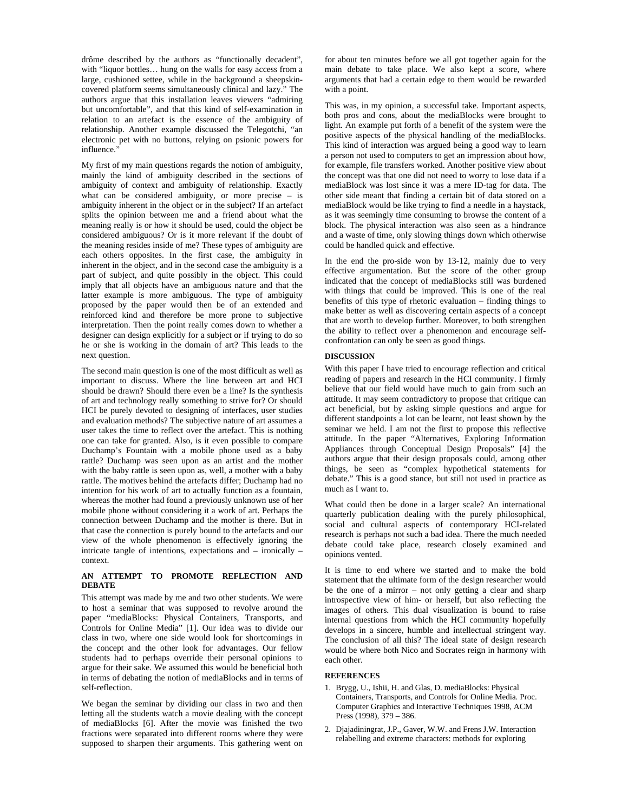drôme described by the authors as "functionally decadent", with "liquor bottles… hung on the walls for easy access from a large, cushioned settee, while in the background a sheepskincovered platform seems simultaneously clinical and lazy." The authors argue that this installation leaves viewers "admiring but uncomfortable", and that this kind of self-examination in relation to an artefact is the essence of the ambiguity of relationship. Another example discussed the Telegotchi, "an electronic pet with no buttons, relying on psionic powers for influence."

My first of my main questions regards the notion of ambiguity, mainly the kind of ambiguity described in the sections of ambiguity of context and ambiguity of relationship. Exactly what can be considered ambiguity, or more precise – is ambiguity inherent in the object or in the subject? If an artefact splits the opinion between me and a friend about what the meaning really is or how it should be used, could the object be considered ambiguous? Or is it more relevant if the doubt of the meaning resides inside of me? These types of ambiguity are each others opposites. In the first case, the ambiguity in inherent in the object, and in the second case the ambiguity is a part of subject, and quite possibly in the object. This could imply that all objects have an ambiguous nature and that the latter example is more ambiguous. The type of ambiguity proposed by the paper would then be of an extended and reinforced kind and therefore be more prone to subjective interpretation. Then the point really comes down to whether a designer can design explicitly for a subject or if trying to do so he or she is working in the domain of art? This leads to the next question.

The second main question is one of the most difficult as well as important to discuss. Where the line between art and HCI should be drawn? Should there even be a line? Is the synthesis of art and technology really something to strive for? Or should HCI be purely devoted to designing of interfaces, user studies and evaluation methods? The subjective nature of art assumes a user takes the time to reflect over the artefact. This is nothing one can take for granted. Also, is it even possible to compare Duchamp's Fountain with a mobile phone used as a baby rattle? Duchamp was seen upon as an artist and the mother with the baby rattle is seen upon as, well, a mother with a baby rattle. The motives behind the artefacts differ; Duchamp had no intention for his work of art to actually function as a fountain, whereas the mother had found a previously unknown use of her mobile phone without considering it a work of art. Perhaps the connection between Duchamp and the mother is there. But in that case the connection is purely bound to the artefacts and our view of the whole phenomenon is effectively ignoring the intricate tangle of intentions, expectations and – ironically – context.

#### **AN ATTEMPT TO PROMOTE REFLECTION AND DEBATE**

This attempt was made by me and two other students. We were to host a seminar that was supposed to revolve around the paper "mediaBlocks: Physical Containers, Transports, and Controls for Online Media" [1]. Our idea was to divide our class in two, where one side would look for shortcomings in the concept and the other look for advantages. Our fellow students had to perhaps override their personal opinions to argue for their sake. We assumed this would be beneficial both in terms of debating the notion of mediaBlocks and in terms of self-reflection.

We began the seminar by dividing our class in two and then letting all the students watch a movie dealing with the concept of mediaBlocks [6]. After the movie was finished the two fractions were separated into different rooms where they were supposed to sharpen their arguments. This gathering went on

for about ten minutes before we all got together again for the main debate to take place. We also kept a score, where arguments that had a certain edge to them would be rewarded with a point.

This was, in my opinion, a successful take. Important aspects, both pros and cons, about the mediaBlocks were brought to light. An example put forth of a benefit of the system were the positive aspects of the physical handling of the mediaBlocks. This kind of interaction was argued being a good way to learn a person not used to computers to get an impression about how, for example, file transfers worked. Another positive view about the concept was that one did not need to worry to lose data if a mediaBlock was lost since it was a mere ID-tag for data. The other side meant that finding a certain bit of data stored on a mediaBlock would be like trying to find a needle in a haystack, as it was seemingly time consuming to browse the content of a block. The physical interaction was also seen as a hindrance and a waste of time, only slowing things down which otherwise could be handled quick and effective.

In the end the pro-side won by 13-12, mainly due to very effective argumentation. But the score of the other group indicated that the concept of mediaBlocks still was burdened with things that could be improved. This is one of the real benefits of this type of rhetoric evaluation – finding things to make better as well as discovering certain aspects of a concept that are worth to develop further. Moreover, to both strengthen the ability to reflect over a phenomenon and encourage selfconfrontation can only be seen as good things.

## **DISCUSSION**

With this paper I have tried to encourage reflection and critical reading of papers and research in the HCI community. I firmly believe that our field would have much to gain from such an attitude. It may seem contradictory to propose that critique can act beneficial, but by asking simple questions and argue for different standpoints a lot can be learnt, not least shown by the seminar we held. I am not the first to propose this reflective attitude. In the paper "Alternatives, Exploring Information Appliances through Conceptual Design Proposals" [4] the authors argue that their design proposals could, among other things, be seen as "complex hypothetical statements for debate." This is a good stance, but still not used in practice as much as I want to.

What could then be done in a larger scale? An international quarterly publication dealing with the purely philosophical, social and cultural aspects of contemporary HCI-related research is perhaps not such a bad idea. There the much needed debate could take place, research closely examined and opinions vented.

It is time to end where we started and to make the bold statement that the ultimate form of the design researcher would be the one of a mirror – not only getting a clear and sharp introspective view of him- or herself, but also reflecting the images of others. This dual visualization is bound to raise internal questions from which the HCI community hopefully develops in a sincere, humble and intellectual stringent way. The conclusion of all this? The ideal state of design research would be where both Nico and Socrates reign in harmony with each other.

#### **REFERENCES**

- 1. Brygg, U., Ishii, H. and Glas, D. mediaBlocks: Physical Containers, Transports, and Controls for Online Media. Proc. Computer Graphics and Interactive Techniques 1998, ACM Press (1998), 379 – 386.
- 2. Djajadiningrat, J.P., Gaver, W.W. and Frens J.W. Interaction relabelling and extreme characters: methods for exploring